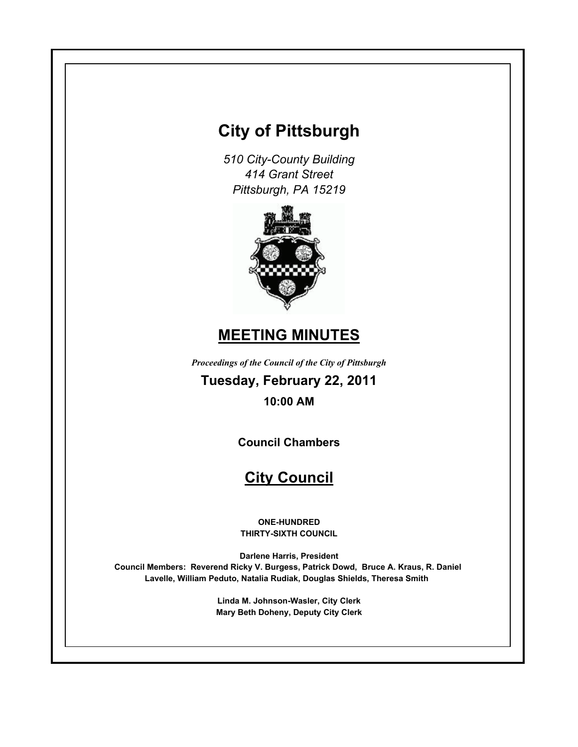# **City of Pittsburgh**

*510 City-County Building 414 Grant Street Pittsburgh, PA 15219*



# **MEETING MINUTES**

*Proceedings of the Council of the City of Pittsburgh*

**Tuesday, February 22, 2011 10:00 AM**

**Council Chambers**

# **City Council**

**ONE-HUNDRED THIRTY-SIXTH COUNCIL**

**Darlene Harris, President Council Members: Reverend Ricky V. Burgess, Patrick Dowd, Bruce A. Kraus, R. Daniel Lavelle, William Peduto, Natalia Rudiak, Douglas Shields, Theresa Smith** 

> **Linda M. Johnson-Wasler, City Clerk Mary Beth Doheny, Deputy City Clerk**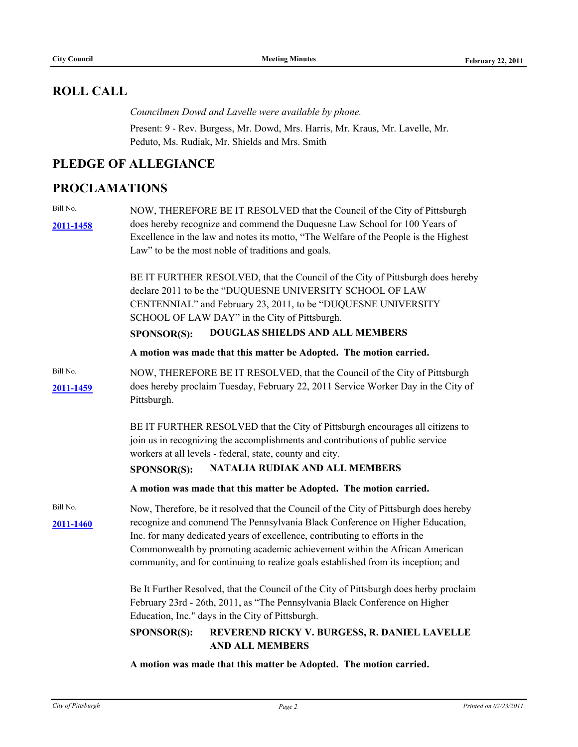# **ROLL CALL**

*Councilmen Dowd and Lavelle were available by phone.* Present: 9 - Rev. Burgess, Mr. Dowd, Mrs. Harris, Mr. Kraus, Mr. Lavelle, Mr. Peduto, Ms. Rudiak, Mr. Shields and Mrs. Smith

# **PLEDGE OF ALLEGIANCE**

# **PROCLAMATIONS**

Bill No.

**[2011-1458](http://pittsburgh.legistar.com/gateway.aspx?M=L&ID=14055)** does hereby recognize and commend the Duquesne Law School for 100 Years of NOW, THEREFORE BE IT RESOLVED that the Council of the City of Pittsburgh Excellence in the law and notes its motto, "The Welfare of the People is the Highest Law" to be the most noble of traditions and goals.

> BE IT FURTHER RESOLVED, that the Council of the City of Pittsburgh does hereby declare 2011 to be the "DUQUESNE UNIVERSITY SCHOOL OF LAW CENTENNIAL" and February 23, 2011, to be "DUQUESNE UNIVERSITY SCHOOL OF LAW DAY" in the City of Pittsburgh.

#### **SPONSOR(S): DOUGLAS SHIELDS AND ALL MEMBERS**

**A motion was made that this matter be Adopted. The motion carried.**

Bill No. **[2011-1459](http://pittsburgh.legistar.com/gateway.aspx?M=L&ID=14056)** does hereby proclaim Tuesday, February 22, 2011 Service Worker Day in the City of NOW, THEREFORE BE IT RESOLVED, that the Council of the City of Pittsburgh Pittsburgh.

> BE IT FURTHER RESOLVED that the City of Pittsburgh encourages all citizens to join us in recognizing the accomplishments and contributions of public service workers at all levels - federal, state, county and city.

### **SPONSOR(S): NATALIA RUDIAK AND ALL MEMBERS**

**A motion was made that this matter be Adopted. The motion carried.**

Bill No. **[2011-1460](http://pittsburgh.legistar.com/gateway.aspx?M=L&ID=14057)** recognize and commend The Pennsylvania Black Conference on Higher Education, Now, Therefore, be it resolved that the Council of the City of Pittsburgh does hereby Inc. for many dedicated years of excellence, contributing to efforts in the Commonwealth by promoting academic achievement within the African American community, and for continuing to realize goals established from its inception; and

> Be It Further Resolved, that the Council of the City of Pittsburgh does herby proclaim February 23rd - 26th, 2011, as "The Pennsylvania Black Conference on Higher Education, Inc." days in the City of Pittsburgh.

## **SPONSOR(S): REVEREND RICKY V. BURGESS, R. DANIEL LAVELLE AND ALL MEMBERS**

**A motion was made that this matter be Adopted. The motion carried.**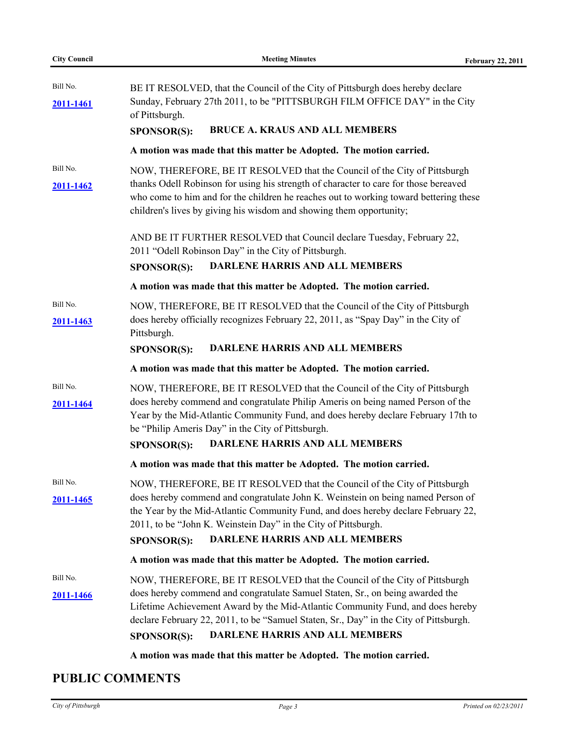| <b>City Council</b>   | <b>Meeting Minutes</b>                                                                                                                                                                                                                                                                                                                                               | <b>February 22, 2011</b> |
|-----------------------|----------------------------------------------------------------------------------------------------------------------------------------------------------------------------------------------------------------------------------------------------------------------------------------------------------------------------------------------------------------------|--------------------------|
| Bill No.<br>2011-1461 | BE IT RESOLVED, that the Council of the City of Pittsburgh does hereby declare<br>Sunday, February 27th 2011, to be "PITTSBURGH FILM OFFICE DAY" in the City<br>of Pittsburgh.<br><b>BRUCE A. KRAUS AND ALL MEMBERS</b><br><b>SPONSOR(S):</b>                                                                                                                        |                          |
|                       | A motion was made that this matter be Adopted. The motion carried.                                                                                                                                                                                                                                                                                                   |                          |
| Bill No.<br>2011-1462 | NOW, THEREFORE, BE IT RESOLVED that the Council of the City of Pittsburgh<br>thanks Odell Robinson for using his strength of character to care for those bereaved<br>who come to him and for the children he reaches out to working toward bettering these<br>children's lives by giving his wisdom and showing them opportunity;                                    |                          |
|                       | AND BE IT FURTHER RESOLVED that Council declare Tuesday, February 22,<br>2011 "Odell Robinson Day" in the City of Pittsburgh.<br><b>DARLENE HARRIS AND ALL MEMBERS</b><br><b>SPONSOR(S):</b>                                                                                                                                                                         |                          |
|                       | A motion was made that this matter be Adopted. The motion carried.                                                                                                                                                                                                                                                                                                   |                          |
| Bill No.<br>2011-1463 | NOW, THEREFORE, BE IT RESOLVED that the Council of the City of Pittsburgh<br>does hereby officially recognizes February 22, 2011, as "Spay Day" in the City of<br>Pittsburgh.<br><b>DARLENE HARRIS AND ALL MEMBERS</b><br><b>SPONSOR(S):</b>                                                                                                                         |                          |
|                       | A motion was made that this matter be Adopted. The motion carried.                                                                                                                                                                                                                                                                                                   |                          |
| Bill No.<br>2011-1464 | NOW, THEREFORE, BE IT RESOLVED that the Council of the City of Pittsburgh<br>does hereby commend and congratulate Philip Ameris on being named Person of the<br>Year by the Mid-Atlantic Community Fund, and does hereby declare February 17th to<br>be "Philip Ameris Day" in the City of Pittsburgh.<br><b>DARLENE HARRIS AND ALL MEMBERS</b><br>SPONSOR(S):       |                          |
|                       | A motion was made that this matter be Adopted. The motion carried.                                                                                                                                                                                                                                                                                                   |                          |
| Bill No.<br>2011-1465 | NOW, THEREFORE, BE IT RESOLVED that the Council of the City of Pittsburgh<br>does hereby commend and congratulate John K. Weinstein on being named Person of<br>the Year by the Mid-Atlantic Community Fund, and does hereby declare February 22,<br>2011, to be "John K. Weinstein Day" in the City of Pittsburgh.<br>DARLENE HARRIS AND ALL MEMBERS<br>SPONSOR(S): |                          |
|                       | A motion was made that this matter be Adopted. The motion carried.                                                                                                                                                                                                                                                                                                   |                          |
| Bill No.<br>2011-1466 | NOW, THEREFORE, BE IT RESOLVED that the Council of the City of Pittsburgh<br>does hereby commend and congratulate Samuel Staten, Sr., on being awarded the<br>Lifetime Achievement Award by the Mid-Atlantic Community Fund, and does hereby<br>declare February 22, 2011, to be "Samuel Staten, Sr., Day" in the City of Pittsburgh.                                |                          |

**SPONSOR(S): DARLENE HARRIS AND ALL MEMBERS**

**A motion was made that this matter be Adopted. The motion carried.**

# **PUBLIC COMMENTS**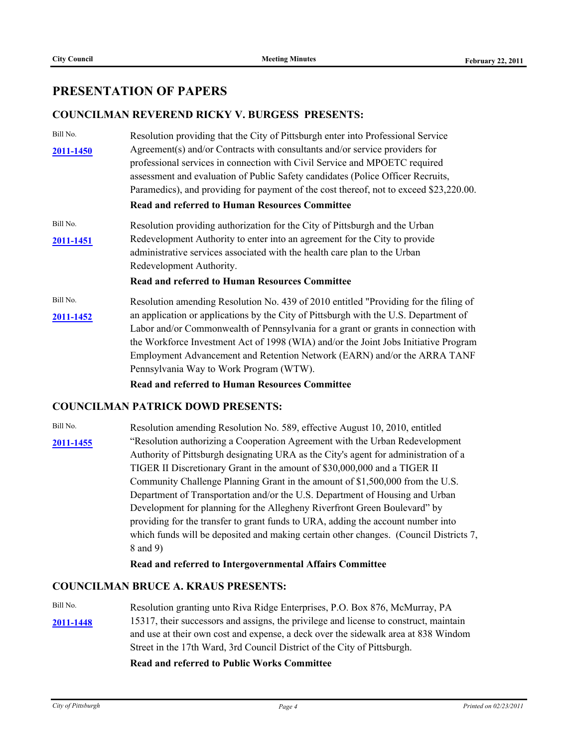# **PRESENTATION OF PAPERS**

### **COUNCILMAN REVEREND RICKY V. BURGESS PRESENTS:**

Bill No. [2011-1450](http://pittsburgh.legistar.com/gateway.aspx?M=L&ID=14047) Agreement(s) and/or Contracts with consultants and/or service providers for Resolution providing that the City of Pittsburgh enter into Professional Service professional services in connection with Civil Service and MPOETC required assessment and evaluation of Public Safety candidates (Police Officer Recruits, Paramedics), and providing for payment of the cost thereof, not to exceed \$23,220.00. **Read and referred to Human Resources Committee** Bill No. **[2011-1451](http://pittsburgh.legistar.com/gateway.aspx?M=L&ID=14048)** Redevelopment Authority to enter into an agreement for the City to provide Resolution providing authorization for the City of Pittsburgh and the Urban administrative services associated with the health care plan to the Urban Redevelopment Authority. **Read and referred to Human Resources Committee** Bill No. **[2011-1452](http://pittsburgh.legistar.com/gateway.aspx?M=L&ID=14049)** Resolution amending Resolution No. 439 of 2010 entitled "Providing for the filing of an application or applications by the City of Pittsburgh with the U.S. Department of Labor and/or Commonwealth of Pennsylvania for a grant or grants in connection with the Workforce Investment Act of 1998 (WIA) and/or the Joint Jobs Initiative Program Employment Advancement and Retention Network (EARN) and/or the ARRA TANF Pennsylvania Way to Work Program (WTW).

**Read and referred to Human Resources Committee**

#### **COUNCILMAN PATRICK DOWD PRESENTS:**

Bill No. [2011-1455](http://pittsburgh.legistar.com/gateway.aspx?M=L&ID=14052) 
<sup>2011-1455</sup> 
<sup>2011-1455</sup> 
<sup>2011-1455</sup> 
<sup>2011-1455</sup> 
<sup>2011-1455</sup> 
<sup>2011-1455</sup> 
<sup>2011-1455</sub> 
<sup>2011-1455</sup> 
<sup>2011-1455</sup> 
<sup>2011-1455</sup> 
<sup>2011-1455</sup> 
<sup>2011-1455</sub> 
<sup>2011-1455</sup> 
<sup>2011-1455</sup> 
<sup>2011-1455</sup> 
<sup>2011-1455</sup> 
<sup>20</sup></sup></sup> Resolution amending Resolution No. 589, effective August 10, 2010, entitled Authority of Pittsburgh designating URA as the City's agent for administration of a TIGER II Discretionary Grant in the amount of \$30,000,000 and a TIGER II Community Challenge Planning Grant in the amount of \$1,500,000 from the U.S. Department of Transportation and/or the U.S. Department of Housing and Urban Development for planning for the Allegheny Riverfront Green Boulevard" by providing for the transfer to grant funds to URA, adding the account number into which funds will be deposited and making certain other changes. (Council Districts 7, 8 and 9)

**Read and referred to Intergovernmental Affairs Committee**

## **COUNCILMAN BRUCE A. KRAUS PRESENTS:**

Bill No. **[2011-1448](http://pittsburgh.legistar.com/gateway.aspx?M=L&ID=14045)** 15317, their successors and assigns, the privilege and license to construct, maintain Resolution granting unto Riva Ridge Enterprises, P.O. Box 876, McMurray, PA and use at their own cost and expense, a deck over the sidewalk area at 838 Windom Street in the 17th Ward, 3rd Council District of the City of Pittsburgh.

**Read and referred to Public Works Committee**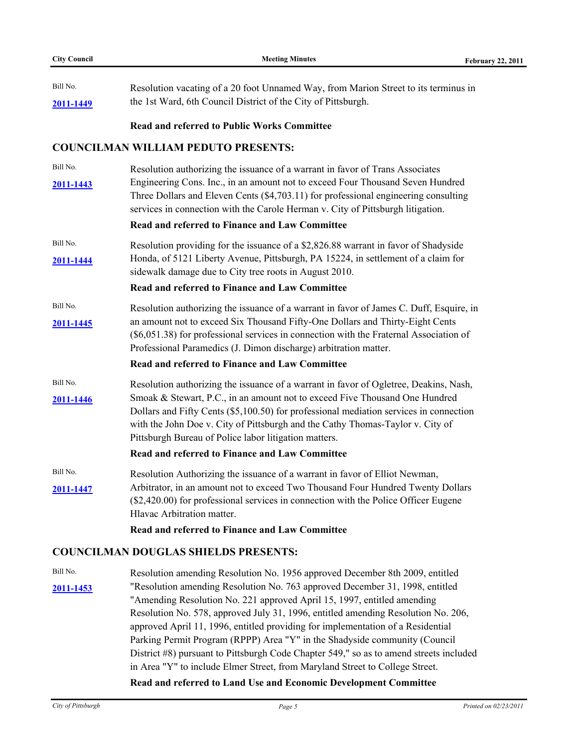Bill No. **[2011-1449](http://pittsburgh.legistar.com/gateway.aspx?M=L&ID=14046)** Resolution vacating of a 20 foot Unnamed Way, from Marion Street to its terminus in the 1st Ward, 6th Council District of the City of Pittsburgh.

#### **Read and referred to Public Works Committee**

#### **COUNCILMAN WILLIAM PEDUTO PRESENTS:**

Bill No. **[2011-1443](http://pittsburgh.legistar.com/gateway.aspx?M=L&ID=14040)** Engineering Cons. Inc., in an amount not to exceed Four Thousand Seven Hundred Resolution authorizing the issuance of a warrant in favor of Trans Associates Three Dollars and Eleven Cents (\$4,703.11) for professional engineering consulting services in connection with the Carole Herman v. City of Pittsburgh litigation.

#### **Read and referred to Finance and Law Committee**

Bill No. **[2011-1444](http://pittsburgh.legistar.com/gateway.aspx?M=L&ID=14041)** Honda, of 5121 Liberty Avenue, Pittsburgh, PA 15224, in settlement of a claim for Resolution providing for the issuance of a \$2,826.88 warrant in favor of Shadyside sidewalk damage due to City tree roots in August 2010.

#### **Read and referred to Finance and Law Committee**

Bill No. **[2011-1445](http://pittsburgh.legistar.com/gateway.aspx?M=L&ID=14042)** an amount not to exceed Six Thousand Fifty-One Dollars and Thirty-Eight Cents Resolution authorizing the issuance of a warrant in favor of James C. Duff, Esquire, in (\$6,051.38) for professional services in connection with the Fraternal Association of Professional Paramedics (J. Dimon discharge) arbitration matter.

#### **Read and referred to Finance and Law Committee**

Bill No. **[2011-1446](http://pittsburgh.legistar.com/gateway.aspx?M=L&ID=14043)** Resolution authorizing the issuance of a warrant in favor of Ogletree, Deakins, Nash, Smoak & Stewart, P.C., in an amount not to exceed Five Thousand One Hundred Dollars and Fifty Cents (\$5,100.50) for professional mediation services in connection with the John Doe v. City of Pittsburgh and the Cathy Thomas-Taylor v. City of Pittsburgh Bureau of Police labor litigation matters.

#### **Read and referred to Finance and Law Committee**

Bill No. **[2011-1447](http://pittsburgh.legistar.com/gateway.aspx?M=L&ID=14044)** Arbitrator, in an amount not to exceed Two Thousand Four Hundred Twenty Dollars Resolution Authorizing the issuance of a warrant in favor of Elliot Newman, (\$2,420.00) for professional services in connection with the Police Officer Eugene Hlavac Arbitration matter.

#### **Read and referred to Finance and Law Committee**

#### **COUNCILMAN DOUGLAS SHIELDS PRESENTS:**

Bill No. **[2011-1453](http://pittsburgh.legistar.com/gateway.aspx?M=L&ID=14050)** "Resolution amending Resolution No. 763 approved December 31, 1998, entitled Resolution amending Resolution No. 1956 approved December 8th 2009, entitled "Amending Resolution No. 221 approved April 15, 1997, entitled amending Resolution No. 578, approved July 31, 1996, entitled amending Resolution No. 206, approved April 11, 1996, entitled providing for implementation of a Residential Parking Permit Program (RPPP) Area "Y" in the Shadyside community (Council District #8) pursuant to Pittsburgh Code Chapter 549," so as to amend streets included in Area "Y" to include Elmer Street, from Maryland Street to College Street.

#### **Read and referred to Land Use and Economic Development Committee**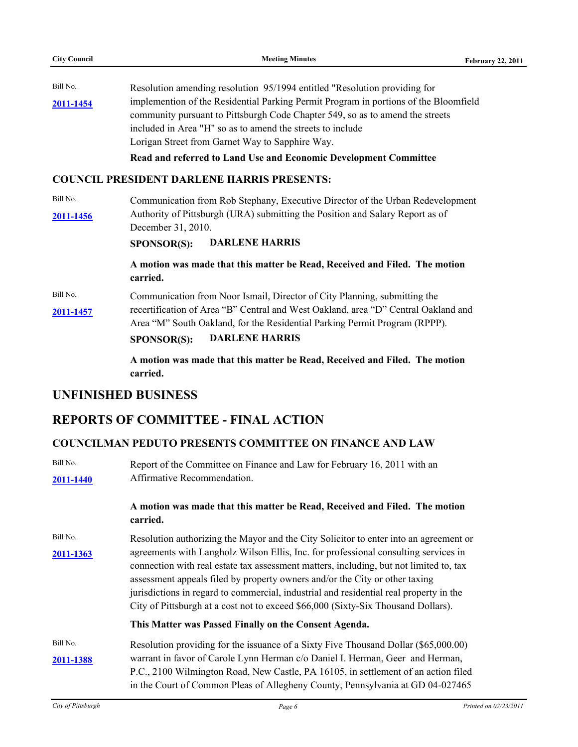**City Council Meeting Minutes February 22, 2011** Bill No. **[2011-1454](http://pittsburgh.legistar.com/gateway.aspx?M=L&ID=14051)** Resolution amending resolution 95/1994 entitled "Resolution providing for implemention of the Residential Parking Permit Program in portions of the Bloomfield community pursuant to Pittsburgh Code Chapter 549, so as to amend the streets included in Area "H" so as to amend the streets to include Lorigan Street from Garnet Way to Sapphire Way. **Read and referred to Land Use and Economic Development Committee COUNCIL PRESIDENT DARLENE HARRIS PRESENTS:** Bill No. [2011-1456](http://pittsburgh.legistar.com/gateway.aspx?M=L&ID=14053) Authority of Pittsburgh (URA) submitting the Position and Salary Report as of Communication from Rob Stephany, Executive Director of the Urban Redevelopment December 31, 2010. **SPONSOR(S): DARLENE HARRIS**

> **A motion was made that this matter be Read, Received and Filed. The motion carried.**

Bill No. **[2011-1457](http://pittsburgh.legistar.com/gateway.aspx?M=L&ID=14054)** recertification of Area "B" Central and West Oakland, area "D" Central Oakland and Communication from Noor Ismail, Director of City Planning, submitting the Area "M" South Oakland, for the Residential Parking Permit Program (RPPP).

**SPONSOR(S): DARLENE HARRIS**

**A motion was made that this matter be Read, Received and Filed. The motion carried.**

# **UNFINISHED BUSINESS**

# **REPORTS OF COMMITTEE - FINAL ACTION**

## **COUNCILMAN PEDUTO PRESENTS COMMITTEE ON FINANCE AND LAW**

| Bill No.<br>2011-1440 | Report of the Committee on Finance and Law for February 16, 2011 with an<br>Affirmative Recommendation.                                                                                                                                                                                                                                                                                                                                     |
|-----------------------|---------------------------------------------------------------------------------------------------------------------------------------------------------------------------------------------------------------------------------------------------------------------------------------------------------------------------------------------------------------------------------------------------------------------------------------------|
|                       | A motion was made that this matter be Read, Received and Filed. The motion<br>carried.                                                                                                                                                                                                                                                                                                                                                      |
| Bill No.              | Resolution authorizing the Mayor and the City Solicitor to enter into an agreement or                                                                                                                                                                                                                                                                                                                                                       |
| 2011-1363             | agreements with Langholz Wilson Ellis, Inc. for professional consulting services in<br>connection with real estate tax assessment matters, including, but not limited to, tax<br>assessment appeals filed by property owners and/or the City or other taxing<br>jurisdictions in regard to commercial, industrial and residential real property in the<br>City of Pittsburgh at a cost not to exceed \$66,000 (Sixty-Six Thousand Dollars). |
|                       | This Matter was Passed Finally on the Consent Agenda.                                                                                                                                                                                                                                                                                                                                                                                       |
| Bill No.              | Resolution providing for the issuance of a Sixty Five Thousand Dollar (\$65,000.00)                                                                                                                                                                                                                                                                                                                                                         |
| 2011-1388             | warrant in favor of Carole Lynn Herman c/o Daniel I. Herman, Geer and Herman,<br>P.C., 2100 Wilmington Road, New Castle, PA 16105, in settlement of an action filed<br>in the Court of Common Pleas of Allegheny County, Pennsylvania at GD 04-027465                                                                                                                                                                                       |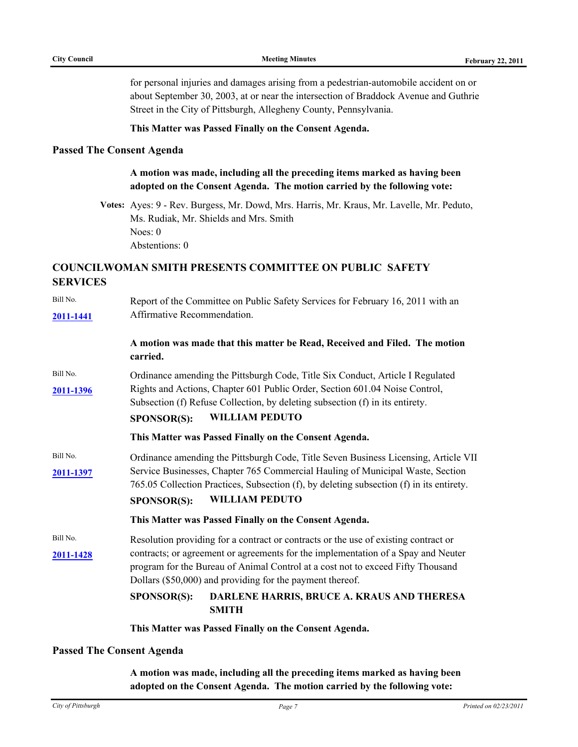for personal injuries and damages arising from a pedestrian-automobile accident on or about September 30, 2003, at or near the intersection of Braddock Avenue and Guthrie Street in the City of Pittsburgh, Allegheny County, Pennsylvania.

#### **This Matter was Passed Finally on the Consent Agenda.**

#### **Passed The Consent Agenda**

### **A motion was made, including all the preceding items marked as having been adopted on the Consent Agenda. The motion carried by the following vote:**

**Votes:** Ayes: 9 - Rev. Burgess, Mr. Dowd, Mrs. Harris, Mr. Kraus, Mr. Lavelle, Mr. Peduto, Ms. Rudiak, Mr. Shields and Mrs. Smith Noes: 0 Abstentions: 0

# **COUNCILWOMAN SMITH PRESENTS COMMITTEE ON PUBLIC SAFETY SERVICES**

|                       | This Matter was Passed Finally on the Consent Agenda.                                                                                                                                                                                                                                                                    |  |
|-----------------------|--------------------------------------------------------------------------------------------------------------------------------------------------------------------------------------------------------------------------------------------------------------------------------------------------------------------------|--|
|                       | <b>SPONSOR(S):</b><br>DARLENE HARRIS, BRUCE A. KRAUS AND THERESA<br><b>SMITH</b>                                                                                                                                                                                                                                         |  |
| Bill No.<br>2011-1428 | Resolution providing for a contract or contracts or the use of existing contract or<br>contracts; or agreement or agreements for the implementation of a Spay and Neuter<br>program for the Bureau of Animal Control at a cost not to exceed Fifty Thousand<br>Dollars (\$50,000) and providing for the payment thereof. |  |
|                       | This Matter was Passed Finally on the Consent Agenda.                                                                                                                                                                                                                                                                    |  |
| Bill No.<br>2011-1397 | Ordinance amending the Pittsburgh Code, Title Seven Business Licensing, Article VII<br>Service Businesses, Chapter 765 Commercial Hauling of Municipal Waste, Section<br>765.05 Collection Practices, Subsection (f), by deleting subsection (f) in its entirety.<br><b>WILLIAM PEDUTO</b><br><b>SPONSOR(S):</b>         |  |
|                       | This Matter was Passed Finally on the Consent Agenda.                                                                                                                                                                                                                                                                    |  |
| Bill No.<br>2011-1396 | Ordinance amending the Pittsburgh Code, Title Six Conduct, Article I Regulated<br>Rights and Actions, Chapter 601 Public Order, Section 601.04 Noise Control,<br>Subsection (f) Refuse Collection, by deleting subsection (f) in its entirety.<br><b>WILLIAM PEDUTO</b><br><b>SPONSOR(S):</b>                            |  |
|                       | A motion was made that this matter be Read, Received and Filed. The motion<br>carried.                                                                                                                                                                                                                                   |  |
| 2011-1441             | Affirmative Recommendation.                                                                                                                                                                                                                                                                                              |  |
| Bill No.              | Report of the Committee on Public Safety Services for February 16, 2011 with an                                                                                                                                                                                                                                          |  |

#### **Passed The Consent Agenda**

**A motion was made, including all the preceding items marked as having been adopted on the Consent Agenda. The motion carried by the following vote:**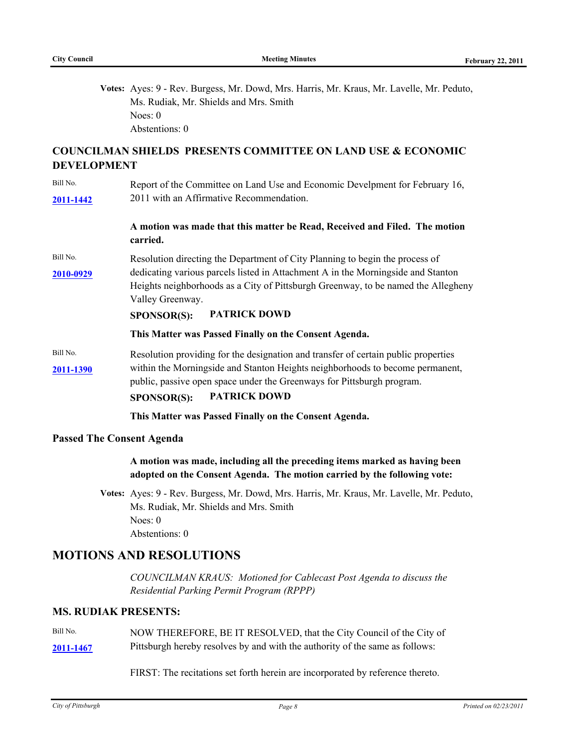**Votes:** Ayes: 9 - Rev. Burgess, Mr. Dowd, Mrs. Harris, Mr. Kraus, Mr. Lavelle, Mr. Peduto, Ms. Rudiak, Mr. Shields and Mrs. Smith Noes: 0 Abstentions: 0

## **COUNCILMAN SHIELDS PRESENTS COMMITTEE ON LAND USE & ECONOMIC DEVELOPMENT**

Bill No. **[2011-1442](http://pittsburgh.legistar.com/gateway.aspx?M=L&ID=14039)** 2011 with an Affirmative Recommendation. Report of the Committee on Land Use and Economic Develpment for February 16,

#### **A motion was made that this matter be Read, Received and Filed. The motion carried.**

Bill No. **[2010-0929](http://pittsburgh.legistar.com/gateway.aspx?M=L&ID=13508)** dedicating various parcels listed in Attachment A in the Morningside and Stanton Resolution directing the Department of City Planning to begin the process of Heights neighborhoods as a City of Pittsburgh Greenway, to be named the Allegheny Valley Greenway.

#### **SPONSOR(S): PATRICK DOWD**

#### **This Matter was Passed Finally on the Consent Agenda.**

Bill No. **[2011-1390](http://pittsburgh.legistar.com/gateway.aspx?M=L&ID=13983)** within the Morningside and Stanton Heights neighborhoods to become permanent, Resolution providing for the designation and transfer of certain public properties public, passive open space under the Greenways for Pittsburgh program.

#### **SPONSOR(S): PATRICK DOWD**

#### **This Matter was Passed Finally on the Consent Agenda.**

#### **Passed The Consent Agenda**

#### **A motion was made, including all the preceding items marked as having been adopted on the Consent Agenda. The motion carried by the following vote:**

**Votes:** Ayes: 9 - Rev. Burgess, Mr. Dowd, Mrs. Harris, Mr. Kraus, Mr. Lavelle, Mr. Peduto, Ms. Rudiak, Mr. Shields and Mrs. Smith Noes: 0 Abstentions: 0

### **MOTIONS AND RESOLUTIONS**

*COUNCILMAN KRAUS: Motioned for Cablecast Post Agenda to discuss the Residential Parking Permit Program (RPPP)*

### **MS. RUDIAK PRESENTS:**

- Bill No. **[2011-1467](http://pittsburgh.legistar.com/gateway.aspx?M=L&ID=14064)** Pittsburgh hereby resolves by and with the authority of the same as follows: NOW THEREFORE, BE IT RESOLVED, that the City Council of the City of
	- FIRST: The recitations set forth herein are incorporated by reference thereto.